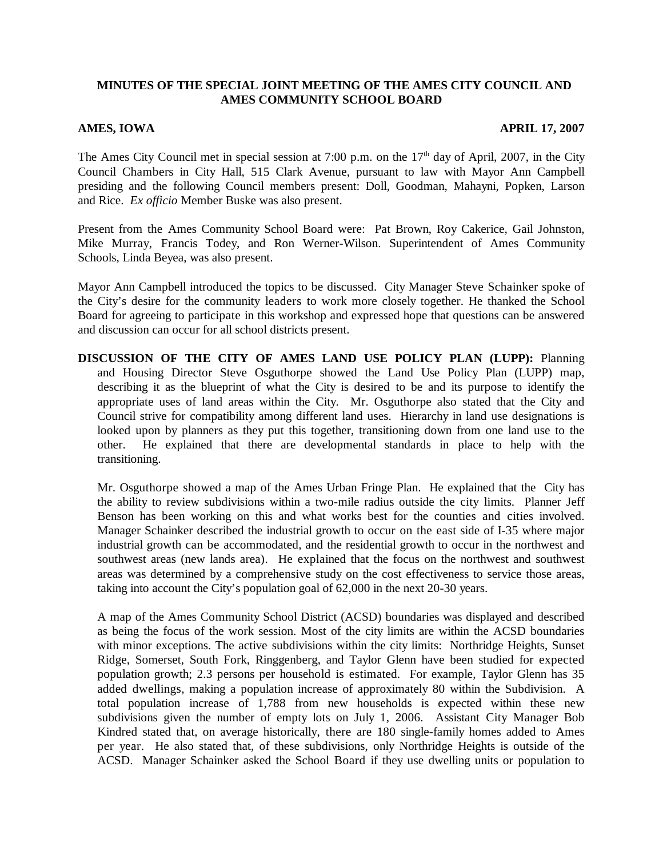## **MINUTES OF THE SPECIAL JOINT MEETING OF THE AMES CITY COUNCIL AND AMES COMMUNITY SCHOOL BOARD**

## **AMES, IOWA APRIL 17, 2007**

The Ames City Council met in special session at 7:00 p.m. on the  $17<sup>th</sup>$  day of April, 2007, in the City Council Chambers in City Hall, 515 Clark Avenue, pursuant to law with Mayor Ann Campbell presiding and the following Council members present: Doll, Goodman, Mahayni, Popken, Larson and Rice. *Ex officio* Member Buske was also present.

Present from the Ames Community School Board were: Pat Brown, Roy Cakerice, Gail Johnston, Mike Murray, Francis Todey, and Ron Werner-Wilson. Superintendent of Ames Community Schools, Linda Beyea, was also present.

Mayor Ann Campbell introduced the topics to be discussed. City Manager Steve Schainker spoke of the City's desire for the community leaders to work more closely together. He thanked the School Board for agreeing to participate in this workshop and expressed hope that questions can be answered and discussion can occur for all school districts present.

**DISCUSSION OF THE CITY OF AMES LAND USE POLICY PLAN (LUPP):** Planning and Housing Director Steve Osguthorpe showed the Land Use Policy Plan (LUPP) map, describing it as the blueprint of what the City is desired to be and its purpose to identify the appropriate uses of land areas within the City. Mr. Osguthorpe also stated that the City and Council strive for compatibility among different land uses. Hierarchy in land use designations is looked upon by planners as they put this together, transitioning down from one land use to the other. He explained that there are developmental standards in place to help with the transitioning.

Mr. Osguthorpe showed a map of the Ames Urban Fringe Plan. He explained that the City has the ability to review subdivisions within a two-mile radius outside the city limits. Planner Jeff Benson has been working on this and what works best for the counties and cities involved. Manager Schainker described the industrial growth to occur on the east side of I-35 where major industrial growth can be accommodated, and the residential growth to occur in the northwest and southwest areas (new lands area). He explained that the focus on the northwest and southwest areas was determined by a comprehensive study on the cost effectiveness to service those areas, taking into account the City's population goal of 62,000 in the next 20-30 years.

A map of the Ames Community School District (ACSD) boundaries was displayed and described as being the focus of the work session. Most of the city limits are within the ACSD boundaries with minor exceptions. The active subdivisions within the city limits: Northridge Heights, Sunset Ridge, Somerset, South Fork, Ringgenberg, and Taylor Glenn have been studied for expected population growth; 2.3 persons per household is estimated. For example, Taylor Glenn has 35 added dwellings, making a population increase of approximately 80 within the Subdivision. A total population increase of 1,788 from new households is expected within these new subdivisions given the number of empty lots on July 1, 2006. Assistant City Manager Bob Kindred stated that, on average historically, there are 180 single-family homes added to Ames per year. He also stated that, of these subdivisions, only Northridge Heights is outside of the ACSD. Manager Schainker asked the School Board if they use dwelling units or population to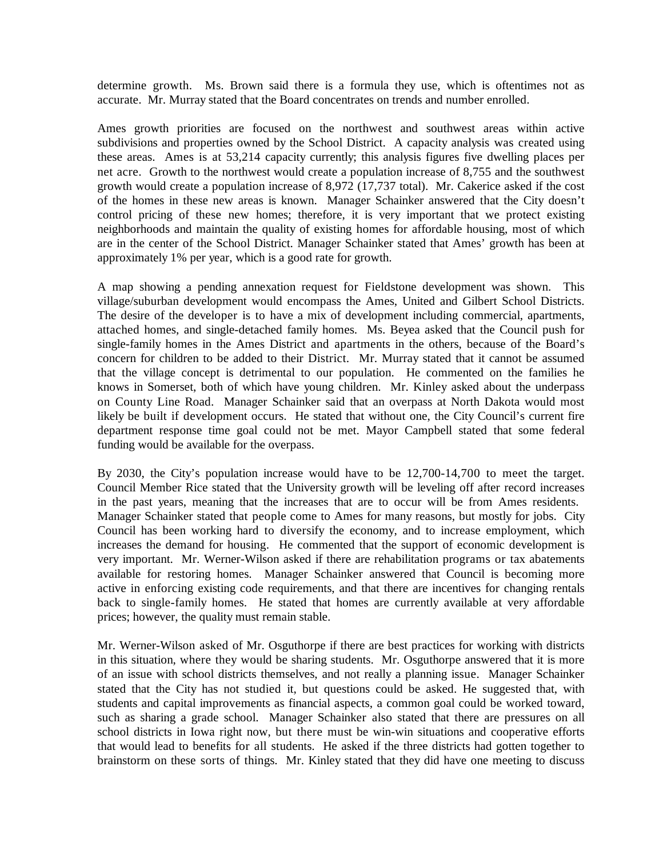determine growth. Ms. Brown said there is a formula they use, which is oftentimes not as accurate. Mr. Murray stated that the Board concentrates on trends and number enrolled.

Ames growth priorities are focused on the northwest and southwest areas within active subdivisions and properties owned by the School District. A capacity analysis was created using these areas. Ames is at 53,214 capacity currently; this analysis figures five dwelling places per net acre. Growth to the northwest would create a population increase of 8,755 and the southwest growth would create a population increase of 8,972 (17,737 total). Mr. Cakerice asked if the cost of the homes in these new areas is known. Manager Schainker answered that the City doesn't control pricing of these new homes; therefore, it is very important that we protect existing neighborhoods and maintain the quality of existing homes for affordable housing, most of which are in the center of the School District. Manager Schainker stated that Ames' growth has been at approximately 1% per year, which is a good rate for growth.

A map showing a pending annexation request for Fieldstone development was shown. This village/suburban development would encompass the Ames, United and Gilbert School Districts. The desire of the developer is to have a mix of development including commercial, apartments, attached homes, and single-detached family homes. Ms. Beyea asked that the Council push for single-family homes in the Ames District and apartments in the others, because of the Board's concern for children to be added to their District. Mr. Murray stated that it cannot be assumed that the village concept is detrimental to our population. He commented on the families he knows in Somerset, both of which have young children. Mr. Kinley asked about the underpass on County Line Road. Manager Schainker said that an overpass at North Dakota would most likely be built if development occurs. He stated that without one, the City Council's current fire department response time goal could not be met. Mayor Campbell stated that some federal funding would be available for the overpass.

By 2030, the City's population increase would have to be 12,700-14,700 to meet the target. Council Member Rice stated that the University growth will be leveling off after record increases in the past years, meaning that the increases that are to occur will be from Ames residents. Manager Schainker stated that people come to Ames for many reasons, but mostly for jobs. City Council has been working hard to diversify the economy, and to increase employment, which increases the demand for housing. He commented that the support of economic development is very important. Mr. Werner-Wilson asked if there are rehabilitation programs or tax abatements available for restoring homes. Manager Schainker answered that Council is becoming more active in enforcing existing code requirements, and that there are incentives for changing rentals back to single-family homes. He stated that homes are currently available at very affordable prices; however, the quality must remain stable.

Mr. Werner-Wilson asked of Mr. Osguthorpe if there are best practices for working with districts in this situation, where they would be sharing students. Mr. Osguthorpe answered that it is more of an issue with school districts themselves, and not really a planning issue. Manager Schainker stated that the City has not studied it, but questions could be asked. He suggested that, with students and capital improvements as financial aspects, a common goal could be worked toward, such as sharing a grade school. Manager Schainker also stated that there are pressures on all school districts in Iowa right now, but there must be win-win situations and cooperative efforts that would lead to benefits for all students. He asked if the three districts had gotten together to brainstorm on these sorts of things. Mr. Kinley stated that they did have one meeting to discuss